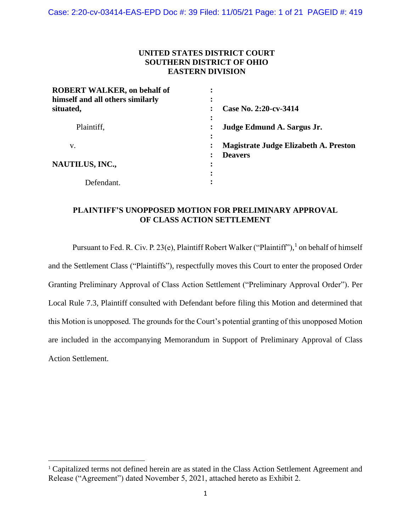## **UNITED STATES DISTRICT COURT SOUTHERN DISTRICT OF OHIO EASTERN DIVISION**

| ٠                                            |
|----------------------------------------------|
| Case No. 2:20-cv-3414                        |
| ٠                                            |
| Judge Edmund A. Sargus Jr.                   |
| ٠                                            |
| <b>Magistrate Judge Elizabeth A. Preston</b> |
| <b>Deavers</b>                               |
| ٠                                            |
| ٠                                            |
|                                              |
|                                              |

## **PLAINTIFF'S UNOPPOSED MOTION FOR PRELIMINARY APPROVAL OF CLASS ACTION SETTLEMENT**

Pursuant to Fed. R. Civ. P. 23(e), Plaintiff Robert Walker ("Plaintiff"), <sup>1</sup> on behalf of himself and the Settlement Class ("Plaintiffs"), respectfully moves this Court to enter the proposed Order Granting Preliminary Approval of Class Action Settlement ("Preliminary Approval Order"). Per Local Rule 7.3, Plaintiff consulted with Defendant before filing this Motion and determined that this Motion is unopposed. The grounds for the Court's potential granting of this unopposed Motion are included in the accompanying Memorandum in Support of Preliminary Approval of Class Action Settlement.

<sup>1</sup> Capitalized terms not defined herein are as stated in the Class Action Settlement Agreement and Release ("Agreement") dated November 5, 2021, attached hereto as Exhibit 2.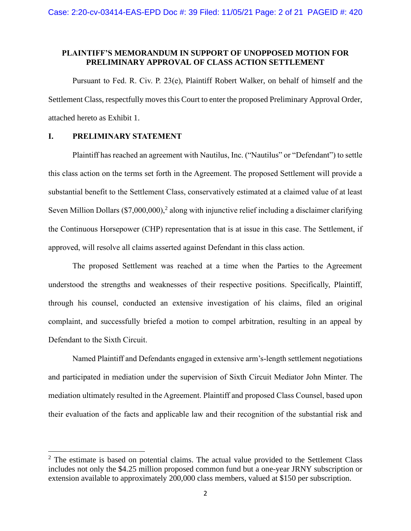### **PLAINTIFF'S MEMORANDUM IN SUPPORT OF UNOPPOSED MOTION FOR PRELIMINARY APPROVAL OF CLASS ACTION SETTLEMENT**

Pursuant to Fed. R. Civ. P. 23(e), Plaintiff Robert Walker, on behalf of himself and the Settlement Class, respectfully moves this Court to enter the proposed Preliminary Approval Order, attached hereto as Exhibit 1.

### **I. PRELIMINARY STATEMENT**

Plaintiff has reached an agreement with Nautilus, Inc. ("Nautilus" or "Defendant") to settle this class action on the terms set forth in the Agreement. The proposed Settlement will provide a substantial benefit to the Settlement Class, conservatively estimated at a claimed value of at least Seven Million Dollars  $(\$7,000,000)$ ,<sup>2</sup> along with injunctive relief including a disclaimer clarifying the Continuous Horsepower (CHP) representation that is at issue in this case. The Settlement, if approved, will resolve all claims asserted against Defendant in this class action.

The proposed Settlement was reached at a time when the Parties to the Agreement understood the strengths and weaknesses of their respective positions. Specifically, Plaintiff, through his counsel, conducted an extensive investigation of his claims, filed an original complaint, and successfully briefed a motion to compel arbitration, resulting in an appeal by Defendant to the Sixth Circuit.

Named Plaintiff and Defendants engaged in extensive arm's-length settlement negotiations and participated in mediation under the supervision of Sixth Circuit Mediator John Minter. The mediation ultimately resulted in the Agreement. Plaintiff and proposed Class Counsel, based upon their evaluation of the facts and applicable law and their recognition of the substantial risk and

 $2^2$  The estimate is based on potential claims. The actual value provided to the Settlement Class includes not only the \$4.25 million proposed common fund but a one-year JRNY subscription or extension available to approximately 200,000 class members, valued at \$150 per subscription.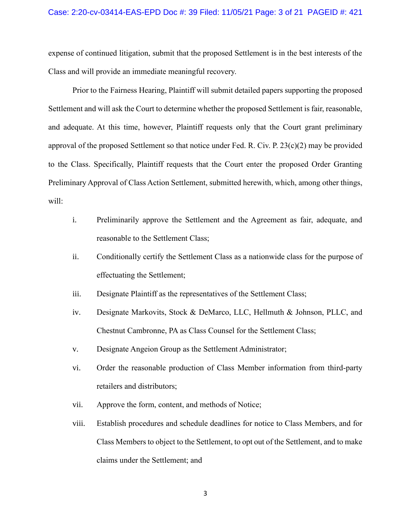expense of continued litigation, submit that the proposed Settlement is in the best interests of the Class and will provide an immediate meaningful recovery.

Prior to the Fairness Hearing, Plaintiff will submit detailed papers supporting the proposed Settlement and will ask the Court to determine whether the proposed Settlement is fair, reasonable, and adequate. At this time, however, Plaintiff requests only that the Court grant preliminary approval of the proposed Settlement so that notice under Fed. R. Civ. P. 23(c)(2) may be provided to the Class. Specifically, Plaintiff requests that the Court enter the proposed Order Granting Preliminary Approval of Class Action Settlement, submitted herewith, which, among other things, will:

- i. Preliminarily approve the Settlement and the Agreement as fair, adequate, and reasonable to the Settlement Class;
- ii. Conditionally certify the Settlement Class as a nationwide class for the purpose of effectuating the Settlement;
- iii. Designate Plaintiff as the representatives of the Settlement Class;
- iv. Designate Markovits, Stock & DeMarco, LLC, Hellmuth & Johnson, PLLC, and Chestnut Cambronne, PA as Class Counsel for the Settlement Class;
- v. Designate Angeion Group as the Settlement Administrator;
- vi. Order the reasonable production of Class Member information from third-party retailers and distributors;
- vii. Approve the form, content, and methods of Notice;
- viii. Establish procedures and schedule deadlines for notice to Class Members, and for Class Members to object to the Settlement, to opt out of the Settlement, and to make claims under the Settlement; and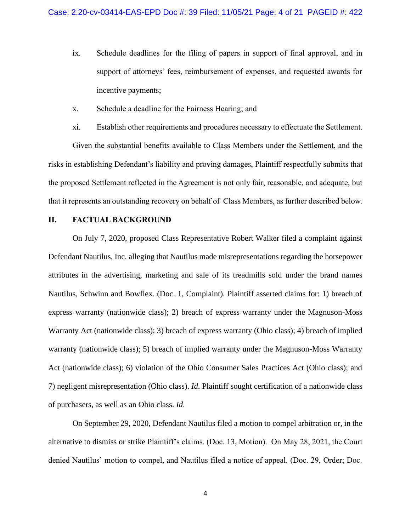- ix. Schedule deadlines for the filing of papers in support of final approval, and in support of attorneys' fees, reimbursement of expenses, and requested awards for incentive payments;
- x. Schedule a deadline for the Fairness Hearing; and
- xi. Establish other requirements and procedures necessary to effectuate the Settlement.

Given the substantial benefits available to Class Members under the Settlement, and the risks in establishing Defendant's liability and proving damages, Plaintiff respectfully submits that the proposed Settlement reflected in the Agreement is not only fair, reasonable, and adequate, but that it represents an outstanding recovery on behalf of Class Members, as further described below.

### **II. FACTUAL BACKGROUND**

On July 7, 2020, proposed Class Representative Robert Walker filed a complaint against Defendant Nautilus, Inc. alleging that Nautilus made misrepresentations regarding the horsepower attributes in the advertising, marketing and sale of its treadmills sold under the brand names Nautilus, Schwinn and Bowflex. (Doc. 1, Complaint). Plaintiff asserted claims for: 1) breach of express warranty (nationwide class); 2) breach of express warranty under the Magnuson-Moss Warranty Act (nationwide class); 3) breach of express warranty (Ohio class); 4) breach of implied warranty (nationwide class); 5) breach of implied warranty under the Magnuson-Moss Warranty Act (nationwide class); 6) violation of the Ohio Consumer Sales Practices Act (Ohio class); and 7) negligent misrepresentation (Ohio class). *Id*. Plaintiff sought certification of a nationwide class of purchasers, as well as an Ohio class. *Id*.

On September 29, 2020, Defendant Nautilus filed a motion to compel arbitration or, in the alternative to dismiss or strike Plaintiff's claims. (Doc. 13, Motion). On May 28, 2021, the Court denied Nautilus' motion to compel, and Nautilus filed a notice of appeal. (Doc. 29, Order; Doc.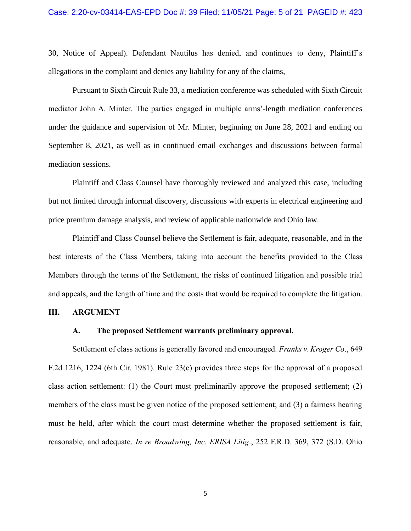30, Notice of Appeal). Defendant Nautilus has denied, and continues to deny, Plaintiff's allegations in the complaint and denies any liability for any of the claims,

Pursuant to Sixth Circuit Rule 33, a mediation conference was scheduled with Sixth Circuit mediator John A. Minter. The parties engaged in multiple arms'-length mediation conferences under the guidance and supervision of Mr. Minter, beginning on June 28, 2021 and ending on September 8, 2021, as well as in continued email exchanges and discussions between formal mediation sessions.

Plaintiff and Class Counsel have thoroughly reviewed and analyzed this case, including but not limited through informal discovery, discussions with experts in electrical engineering and price premium damage analysis, and review of applicable nationwide and Ohio law.

Plaintiff and Class Counsel believe the Settlement is fair, adequate, reasonable, and in the best interests of the Class Members, taking into account the benefits provided to the Class Members through the terms of the Settlement, the risks of continued litigation and possible trial and appeals, and the length of time and the costs that would be required to complete the litigation.

### **III. ARGUMENT**

#### **A. The proposed Settlement warrants preliminary approval.**

Settlement of class actions is generally favored and encouraged. *Franks v. Kroger Co*., 649 F.2d 1216, 1224 (6th Cir. 1981). Rule 23(e) provides three steps for the approval of a proposed class action settlement: (1) the Court must preliminarily approve the proposed settlement; (2) members of the class must be given notice of the proposed settlement; and (3) a fairness hearing must be held, after which the court must determine whether the proposed settlement is fair, reasonable, and adequate. *In re Broadwing, Inc. ERISA Litig*., 252 F.R.D. 369, 372 (S.D. Ohio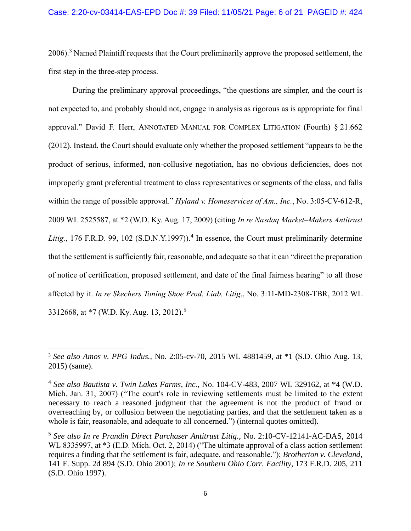2006).<sup>3</sup> Named Plaintiff requests that the Court preliminarily approve the proposed settlement, the first step in the three-step process.

During the preliminary approval proceedings, "the questions are simpler, and the court is not expected to, and probably should not, engage in analysis as rigorous as is appropriate for final approval." David F. Herr, ANNOTATED MANUAL FOR COMPLEX LITIGATION (Fourth) § 21.662 (2012). Instead, the Court should evaluate only whether the proposed settlement "appears to be the product of serious, informed, non-collusive negotiation, has no obvious deficiencies, does not improperly grant preferential treatment to class representatives or segments of the class, and falls within the range of possible approval." *Hyland v. Homeservices of Am., Inc.*, No. 3:05-CV-612-R, 2009 WL 2525587, at \*2 (W.D. Ky. Aug. 17, 2009) (citing *In re Nasdaq Market–Makers Antitrust*  Litig., 176 F.R.D. 99, 102 (S.D.N.Y.1997)).<sup>4</sup> In essence, the Court must preliminarily determine that the settlement is sufficiently fair, reasonable, and adequate so that it can "direct the preparation of notice of certification, proposed settlement, and date of the final fairness hearing" to all those affected by it. *In re Skechers Toning Shoe Prod. Liab. Litig*., No. 3:11-MD-2308-TBR, 2012 WL 3312668, at \*7 (W.D. Ky. Aug. 13, 2012).<sup>5</sup>

<sup>3</sup> *See also Amos v. PPG Indus.*, No. 2:05-cv-70, 2015 WL 4881459, at \*1 (S.D. Ohio Aug. 13, 2015) (same).

<sup>4</sup> *See also Bautista v. Twin Lakes Farms, Inc.*, No. 104-CV-483, 2007 WL 329162, at \*4 (W.D. Mich. Jan. 31, 2007) ("The court's role in reviewing settlements must be limited to the extent necessary to reach a reasoned judgment that the agreement is not the product of fraud or overreaching by, or collusion between the negotiating parties, and that the settlement taken as a whole is fair, reasonable, and adequate to all concerned.") (internal quotes omitted).

<sup>5</sup> *See also In re Prandin Direct Purchaser Antitrust Litig.*, No. 2:10-CV-12141-AC-DAS, 2014 WL 8335997, at  $*3$  (E.D. Mich. Oct. 2, 2014) ("The ultimate approval of a class action settlement requires a finding that the settlement is fair, adequate, and reasonable."); *Brotherton v. Cleveland*, 141 F. Supp. 2d 894 (S.D. Ohio 2001); *[In re Southern Ohio Corr. Facility,](https://a.next.westlaw.com/Link/Document/FullText?findType=Y&serNum=1997103429&pubNum=344&originatingDoc=Iaa536ee353de11d997e0acd5cbb90d3f&refType=RP&fi=co_pp_sp_344_211&originationContext=document&transitionType=DocumentItem&contextData=(sc.Search)#co_pp_sp_344_211)* 173 F.R.D. 205, 211 [\(S.D. Ohio 1997\).](https://a.next.westlaw.com/Link/Document/FullText?findType=Y&serNum=1997103429&pubNum=344&originatingDoc=Iaa536ee353de11d997e0acd5cbb90d3f&refType=RP&fi=co_pp_sp_344_211&originationContext=document&transitionType=DocumentItem&contextData=(sc.Search)#co_pp_sp_344_211)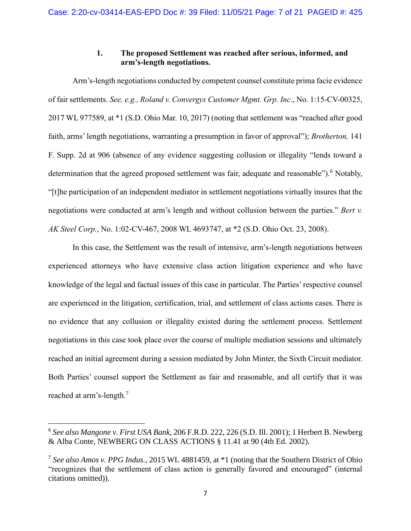## **1. The proposed Settlement was reached after serious, informed, and arm's-length negotiations.**

Arm's-length negotiations conducted by competent counsel constitute prima facie evidence of fair settlements. *See, e.g., Roland v. Convergys Customer Mgmt. Grp. Inc*., No. 1:15-CV-00325, 2017 WL 977589, at \*1 (S.D. Ohio Mar. 10, 2017) (noting that settlement was "reached after good faith, arms' length negotiations, warranting a presumption in favor of approval"); *Brotherton,* 141 F. Supp. 2d at 906 (absence of any evidence suggesting collusion or illegality "lends toward a determination that the agreed proposed settlement was fair, adequate and reasonable").<sup>6</sup> Notably, "[t]he participation of an independent mediator in settlement negotiations virtually insures that the negotiations were conducted at arm's length and without collusion between the parties." *Bert v. AK Steel Corp.*, No. 1:02-CV-467, 2008 WL 4693747, at \*2 (S.D. Ohio Oct. 23, 2008).

In this case, the Settlement was the result of intensive, arm's-length negotiations between experienced attorneys who have extensive class action litigation experience and who have knowledge of the legal and factual issues of this case in particular. The Parties' respective counsel are experienced in the litigation, certification, trial, and settlement of class actions cases. There is no evidence that any collusion or illegality existed during the settlement process. Settlement negotiations in this case took place over the course of multiple mediation sessions and ultimately reached an initial agreement during a session mediated by John Minter, the Sixth Circuit mediator. Both Parties' counsel support the Settlement as fair and reasonable, and all certify that it was reached at arm's-length.<sup>7</sup>

<sup>6</sup> *See also Mangone v. First USA Bank*, 206 F.R.D. 222, 226 (S.D. Ill. 2001); 1 Herbert B. Newberg & Alba Conte, NEWBERG ON CLASS ACTIONS § 11.41 at 90 (4th Ed. 2002).

<sup>7</sup> *See also Amos v. PPG Indus.*, 2015 WL 4881459, at \*1 (noting that the Southern District of Ohio "recognizes that the settlement of class action is generally favored and encouraged" (internal citations omitted)).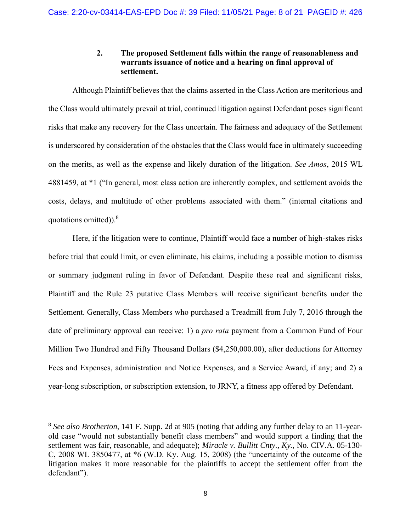## **2. The proposed Settlement falls within the range of reasonableness and warrants issuance of notice and a hearing on final approval of settlement.**

Although Plaintiff believes that the claims asserted in the Class Action are meritorious and the Class would ultimately prevail at trial, continued litigation against Defendant poses significant risks that make any recovery for the Class uncertain. The fairness and adequacy of the Settlement is underscored by consideration of the obstacles that the Class would face in ultimately succeeding on the merits, as well as the expense and likely duration of the litigation. *See Amos*, 2015 WL 4881459, at \*1 ("In general, most class action are inherently complex, and settlement avoids the costs, delays, and multitude of other problems associated with them." (internal citations and quotations omitted)).<sup>8</sup>

Here, if the litigation were to continue, Plaintiff would face a number of high-stakes risks before trial that could limit, or even eliminate, his claims, including a possible motion to dismiss or summary judgment ruling in favor of Defendant. Despite these real and significant risks, Plaintiff and the Rule 23 putative Class Members will receive significant benefits under the Settlement. Generally, Class Members who purchased a Treadmill from July 7, 2016 through the date of preliminary approval can receive: 1) a *pro rata* payment from a Common Fund of Four Million Two Hundred and Fifty Thousand Dollars (\$4,250,000.00), after deductions for Attorney Fees and Expenses, administration and Notice Expenses, and a Service Award, if any; and 2) a year-long subscription, or subscription extension, to JRNY, a fitness app offered by Defendant.

<sup>8</sup> *See also Brotherton*, 141 F. Supp. 2d at 905 (noting that adding any further delay to an 11-yearold case "would not substantially benefit class members" and would support a finding that the settlement was fair, reasonable, and adequate); *Miracle v. Bullitt Cnty., Ky.*, No. CIV.A. 05-130- C, 2008 WL 3850477, at \*6 (W.D. Ky. Aug. 15, 2008) (the "uncertainty of the outcome of the litigation makes it more reasonable for the plaintiffs to accept the settlement offer from the defendant").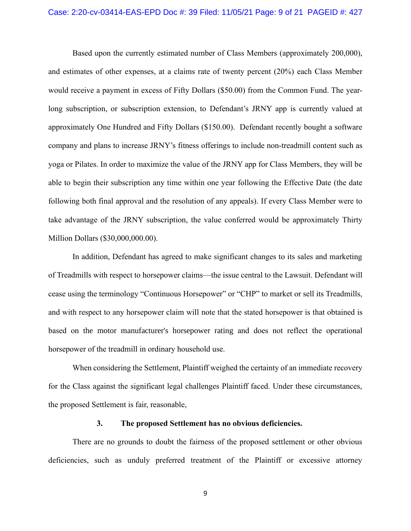Based upon the currently estimated number of Class Members (approximately 200,000), and estimates of other expenses, at a claims rate of twenty percent (20%) each Class Member would receive a payment in excess of Fifty Dollars (\$50.00) from the Common Fund. The yearlong subscription, or subscription extension, to Defendant's JRNY app is currently valued at approximately One Hundred and Fifty Dollars (\$150.00). Defendant recently bought a software company and plans to increase JRNY's fitness offerings to include non-treadmill content such as yoga or Pilates. In order to maximize the value of the JRNY app for Class Members, they will be able to begin their subscription any time within one year following the Effective Date (the date following both final approval and the resolution of any appeals). If every Class Member were to take advantage of the JRNY subscription, the value conferred would be approximately Thirty Million Dollars (\$30,000,000.00).

In addition, Defendant has agreed to make significant changes to its sales and marketing of Treadmills with respect to horsepower claims—the issue central to the Lawsuit. Defendant will cease using the terminology "Continuous Horsepower" or "CHP" to market or sell its Treadmills, and with respect to any horsepower claim will note that the stated horsepower is that obtained is based on the motor manufacturer's horsepower rating and does not reflect the operational horsepower of the treadmill in ordinary household use.

When considering the Settlement, Plaintiff weighed the certainty of an immediate recovery for the Class against the significant legal challenges Plaintiff faced. Under these circumstances, the proposed Settlement is fair, reasonable,

#### **3. The proposed Settlement has no obvious deficiencies.**

There are no grounds to doubt the fairness of the proposed settlement or other obvious deficiencies, such as unduly preferred treatment of the Plaintiff or excessive attorney

9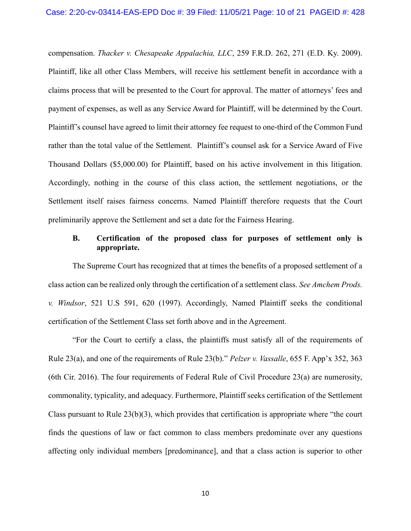compensation. *Thacker v. Chesapeake Appalachia, LLC*, 259 F.R.D. 262, 271 (E.D. Ky. 2009). Plaintiff, like all other Class Members, will receive his settlement benefit in accordance with a claims process that will be presented to the Court for approval. The matter of attorneys' fees and payment of expenses, as well as any Service Award for Plaintiff, will be determined by the Court. Plaintiff's counsel have agreed to limit their attorney fee request to one-third of the Common Fund rather than the total value of the Settlement. Plaintiff's counsel ask for a Service Award of Five Thousand Dollars (\$5,000.00) for Plaintiff, based on his active involvement in this litigation. Accordingly, nothing in the course of this class action, the settlement negotiations, or the Settlement itself raises fairness concerns. Named Plaintiff therefore requests that the Court preliminarily approve the Settlement and set a date for the Fairness Hearing.

## **B. Certification of the proposed class for purposes of settlement only is appropriate.**

The Supreme Court has recognized that at times the benefits of a proposed settlement of a class action can be realized only through the certification of a settlement class. *See Amchem Prods. v. Windsor*, 521 U.S 591, 620 (1997). Accordingly, Named Plaintiff seeks the conditional certification of the Settlement Class set forth above and in the Agreement.

"For the Court to certify a class, the plaintiffs must satisfy all of the requirements of Rule 23(a), and one of the requirements of Rule 23(b)." *Pelzer v. Vassalle*, 655 F. App'x 352, 363 (6th Cir. 2016). The four requirements of Federal Rule of Civil Procedure 23(a) are numerosity, commonality, typicality, and adequacy. Furthermore, Plaintiff seeks certification of the Settlement Class pursuant to Rule 23(b)(3), which provides that certification is appropriate where "the court finds the questions of law or fact common to class members predominate over any questions affecting only individual members [predominance], and that a class action is superior to other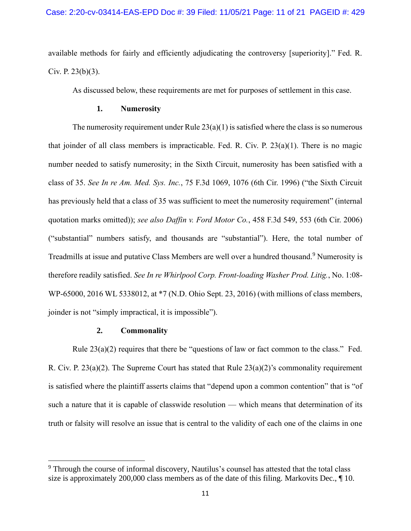available methods for fairly and efficiently adjudicating the controversy [superiority]." Fed. R. Civ. P.  $23(b)(3)$ .

As discussed below, these requirements are met for purposes of settlement in this case.

### **1. Numerosity**

The numerosity requirement under Rule  $23(a)(1)$  is satisfied where the class is so numerous that joinder of all class members is impracticable. Fed. R. Civ. P.  $23(a)(1)$ . There is no magic number needed to satisfy numerosity; in the Sixth Circuit, numerosity has been satisfied with a class of 35. *See In re Am. Med. Sys. Inc.*, 75 F.3d 1069, 1076 (6th Cir. 1996) ("the Sixth Circuit has previously held that a class of 35 was sufficient to meet the numerosity requirement" (internal quotation marks omitted)); *see also Daffin v. Ford Motor Co.*, 458 F.3d 549, 553 (6th Cir. 2006) ("substantial" numbers satisfy, and thousands are "substantial"). Here, the total number of Treadmills at issue and putative Class Members are well over a hundred thousand.<sup>9</sup> Numerosity is therefore readily satisfied. *See In re Whirlpool Corp. Front-loading Washer Prod. Litig.*, No. 1:08- WP-65000, 2016 WL 5338012, at \*7 (N.D. Ohio Sept. 23, 2016) (with millions of class members, joinder is not "simply impractical, it is impossible").

### **2. Commonality**

Rule 23(a)(2) requires that there be "questions of law or fact common to the class." Fed. R. Civ. P.  $23(a)(2)$ . The Supreme Court has stated that Rule  $23(a)(2)$ 's commonality requirement is satisfied where the plaintiff asserts claims that "depend upon a common contention" that is "of such a nature that it is capable of classwide resolution — which means that determination of its truth or falsity will resolve an issue that is central to the validity of each one of the claims in one

<sup>&</sup>lt;sup>9</sup> Through the course of informal discovery, Nautilus's counsel has attested that the total class size is approximately 200,000 class members as of the date of this filing. Markovits Dec., ¶ 10.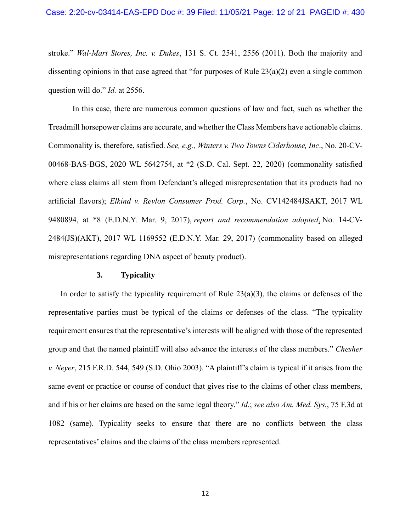stroke." *Wal-Mart Stores, Inc. v. Dukes*, 131 S. Ct. 2541, 2556 (2011). Both the majority and dissenting opinions in that case agreed that "for purposes of Rule  $23(a)(2)$  even a single common question will do." *Id.* at 2556.

In this case, there are numerous common questions of law and fact, such as whether the Treadmill horsepower claims are accurate, and whether the Class Members have actionable claims. Commonality is, therefore, satisfied. *See, e.g., Winters v. Two Towns Ciderhouse, Inc*., No. 20-CV-00468-BAS-BGS, 2020 WL 5642754, at \*2 (S.D. Cal. Sept. 22, 2020) (commonality satisfied where class claims all stem from Defendant's alleged misrepresentation that its products had no artificial flavors); *Elkind v. Revlon Consumer Prod. Corp.*, No. CV142484JSAKT, 2017 WL 9480894, at \*8 (E.D.N.Y. Mar. 9, 2017), *report and recommendation adopted*, No. 14-CV-2484(JS)(AKT), 2017 WL 1169552 (E.D.N.Y. Mar. 29, 2017) (commonality based on alleged misrepresentations regarding DNA aspect of beauty product).

### **3. Typicality**

In order to satisfy the typicality requirement of Rule  $23(a)(3)$ , the claims or defenses of the representative parties must be typical of the claims or defenses of the class. "The typicality requirement ensures that the representative's interests will be aligned with those of the represented group and that the named plaintiff will also advance the interests of the class members." *Chesher v. Neyer*, 215 F.R.D. 544, 549 (S.D. Ohio 2003). "A plaintiff's claim is typical if it arises from the same event or practice or course of conduct that gives rise to the claims of other class members, and if his or her claims are based on the same legal theory." *Id*.; *see also Am. Med. Sys.*, 75 F.3d at 1082 (same). Typicality seeks to ensure that there are no conflicts between the class representatives' claims and the claims of the class members represented.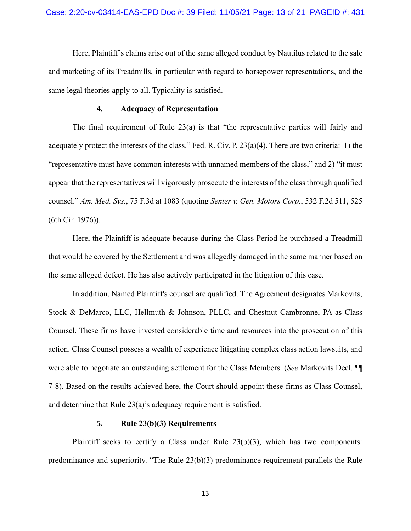Here, Plaintiff's claims arise out of the same alleged conduct by Nautilus related to the sale and marketing of its Treadmills, in particular with regard to horsepower representations, and the same legal theories apply to all. Typicality is satisfied.

#### **4. Adequacy of Representation**

The final requirement of Rule 23(a) is that "the representative parties will fairly and adequately protect the interests of the class." Fed. R. Civ. P. 23(a)(4). There are two criteria: 1) the "representative must have common interests with unnamed members of the class," and 2) "it must appear that the representatives will vigorously prosecute the interests of the class through qualified counsel." *Am. Med. Sys.*, 75 F.3d at 1083 (quoting *Senter v. Gen. Motors Corp.*, 532 F.2d 511, 525 (6th Cir. 1976)).

Here, the Plaintiff is adequate because during the Class Period he purchased a Treadmill that would be covered by the Settlement and was allegedly damaged in the same manner based on the same alleged defect. He has also actively participated in the litigation of this case.

In addition, Named Plaintiff's counsel are qualified. The Agreement designates Markovits, Stock & DeMarco, LLC, Hellmuth & Johnson, PLLC, and Chestnut Cambronne, PA as Class Counsel. These firms have invested considerable time and resources into the prosecution of this action. Class Counsel possess a wealth of experience litigating complex class action lawsuits, and were able to negotiate an outstanding settlement for the Class Members. (*See* Markovits Decl. ¶¶ 7-8). Based on the results achieved here, the Court should appoint these firms as Class Counsel, and determine that Rule 23(a)'s adequacy requirement is satisfied.

#### **5. Rule 23(b)(3) Requirements**

Plaintiff seeks to certify a Class under Rule 23(b)(3), which has two components: predominance and superiority. "The Rule 23(b)(3) predominance requirement parallels the Rule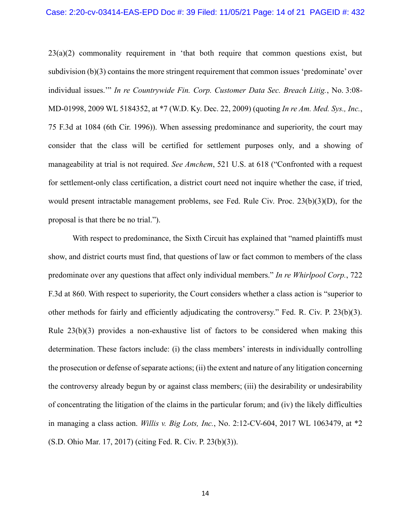23(a)(2) commonality requirement in 'that both require that common questions exist, but subdivision (b)(3) contains the more stringent requirement that common issues 'predominate' over individual issues.'" *In re Countrywide Fin. Corp. Customer Data Sec. Breach Litig.*, No. 3:08- MD-01998, 2009 WL 5184352, at \*7 (W.D. Ky. Dec. 22, 2009) (quoting *In re Am. Med. Sys., Inc.*, 75 F.3d at 1084 (6th Cir. 1996)). When assessing predominance and superiority, the court may consider that the class will be certified for settlement purposes only, and a showing of manageability at trial is not required. *See Amchem*, 521 U.S. at 618 ("Confronted with a request for settlement-only class certification, a district court need not inquire whether the case, if tried, would present intractable management problems, see Fed. Rule Civ. Proc. 23(b)(3)(D), for the proposal is that there be no trial.").

With respect to predominance, the Sixth Circuit has explained that "named plaintiffs must show, and district courts must find, that questions of law or fact common to members of the class predominate over any questions that affect only individual members." *In re Whirlpool Corp.*, 722 F.3d at 860. With respect to superiority, the Court considers whether a class action is "superior to other methods for fairly and efficiently adjudicating the controversy." Fed. R. Civ. P. 23(b)(3). Rule 23(b)(3) provides a non-exhaustive list of factors to be considered when making this determination. These factors include: (i) the class members' interests in individually controlling the prosecution or defense of separate actions; (ii) the extent and nature of any litigation concerning the controversy already begun by or against class members; (iii) the desirability or undesirability of concentrating the litigation of the claims in the particular forum; and (iv) the likely difficulties in managing a class action. *Willis v. Big Lots, Inc.*, No. 2:12-CV-604, 2017 WL 1063479, at \*2 (S.D. Ohio Mar. 17, 2017) (citing Fed. R. Civ. P. 23(b)(3)).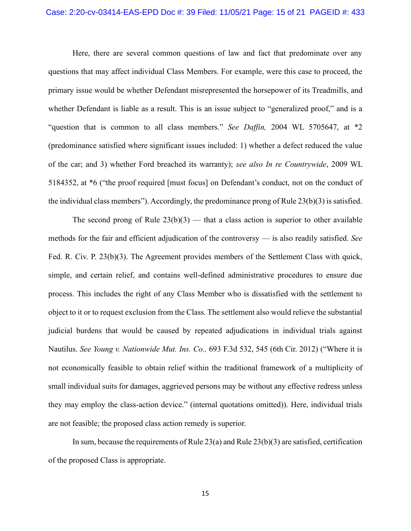Here, there are several common questions of law and fact that predominate over any questions that may affect individual Class Members. For example, were this case to proceed, the primary issue would be whether Defendant misrepresented the horsepower of its Treadmills, and whether Defendant is liable as a result. This is an issue subject to "generalized proof," and is a "question that is common to all class members." *See Daffin,* 2004 WL 5705647, at \*2 (predominance satisfied where significant issues included: 1) whether a defect reduced the value of the car; and 3) whether Ford breached its warranty); *see also In re Countrywide*, 2009 WL 5184352, at \*6 ("the proof required [must focus] on Defendant's conduct, not on the conduct of the individual class members"). Accordingly, the predominance prong of Rule 23(b)(3) is satisfied.

The second prong of Rule  $23(b)(3)$  — that a class action is superior to other available methods for the fair and efficient adjudication of the controversy — is also readily satisfied. *See*  Fed. R. Civ. P. 23(b)(3). The Agreement provides members of the Settlement Class with quick, simple, and certain relief, and contains well-defined administrative procedures to ensure due process. This includes the right of any Class Member who is dissatisfied with the settlement to object to it or to request exclusion from the Class. The settlement also would relieve the substantial judicial burdens that would be caused by repeated adjudications in individual trials against Nautilus. *See Young v. Nationwide Mut. Ins. Co.,* 693 F.3d 532, 545 (6th Cir. 2012) ("Where it is not economically feasible to obtain relief within the traditional framework of a multiplicity of small individual suits for damages, aggrieved persons may be without any effective redress unless they may employ the class-action device." (internal quotations omitted)). Here, individual trials are not feasible; the proposed class action remedy is superior.

In sum, because the requirements of Rule 23(a) and Rule 23(b)(3) are satisfied, certification of the proposed Class is appropriate.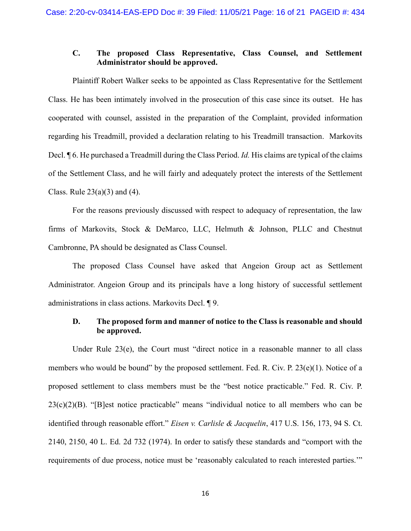## **C. The proposed Class Representative, Class Counsel, and Settlement Administrator should be approved.**

Plaintiff Robert Walker seeks to be appointed as Class Representative for the Settlement Class. He has been intimately involved in the prosecution of this case since its outset. He has cooperated with counsel, assisted in the preparation of the Complaint, provided information regarding his Treadmill, provided a declaration relating to his Treadmill transaction. Markovits Decl. ¶ 6. He purchased a Treadmill during the Class Period. *Id.* His claims are typical of the claims of the Settlement Class, and he will fairly and adequately protect the interests of the Settlement Class. Rule  $23(a)(3)$  and  $(4)$ .

For the reasons previously discussed with respect to adequacy of representation, the law firms of Markovits, Stock & DeMarco, LLC, Helmuth & Johnson, PLLC and Chestnut Cambronne, PA should be designated as Class Counsel.

The proposed Class Counsel have asked that Angeion Group act as Settlement Administrator. Angeion Group and its principals have a long history of successful settlement administrations in class actions. Markovits Decl. ¶ 9.

## **D. The proposed form and manner of notice to the Class is reasonable and should be approved.**

Under Rule 23(e), the Court must "direct notice in a reasonable manner to all class members who would be bound" by the proposed settlement. Fed. R. Civ. P. 23(e)(1). Notice of a proposed settlement to class members must be the "best notice practicable." Fed. R. Civ. P.  $23(c)(2)(B)$ . "[B]est notice practicable" means "individual notice to all members who can be identified through reasonable effort." *Eisen v. Carlisle & Jacquelin*, 417 U.S. 156, 173, 94 S. Ct. 2140, 2150, 40 L. Ed. 2d 732 (1974). In order to satisfy these standards and "comport with the requirements of due process, notice must be 'reasonably calculated to reach interested parties.'"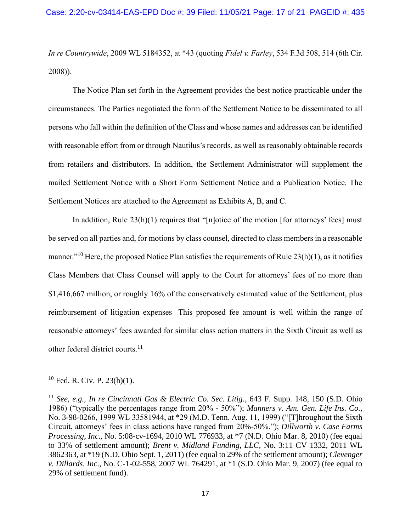*In re Countrywide*, 2009 WL 5184352, at \*43 (quoting *Fidel v. Farley*, 534 F.3d 508, 514 (6th Cir. 2008)).

The Notice Plan set forth in the Agreement provides the best notice practicable under the circumstances. The Parties negotiated the form of the Settlement Notice to be disseminated to all persons who fall within the definition of the Class and whose names and addresses can be identified with reasonable effort from or through Nautilus's records, as well as reasonably obtainable records from retailers and distributors. In addition, the Settlement Administrator will supplement the mailed Settlement Notice with a Short Form Settlement Notice and a Publication Notice. The Settlement Notices are attached to the Agreement as Exhibits A, B, and C.

In addition, Rule  $23(h)(1)$  requires that "[n]otice of the motion [for attorneys' fees] must be served on all parties and, for motions by class counsel, directed to class members in a reasonable manner."<sup>10</sup> Here, the proposed Notice Plan satisfies the requirements of Rule  $23(h)(1)$ , as it notifies Class Members that Class Counsel will apply to the Court for attorneys' fees of no more than \$1,416,667 million, or roughly 16% of the conservatively estimated value of the Settlement, plus reimbursement of litigation expenses This proposed fee amount is well within the range of reasonable attorneys' fees awarded for similar class action matters in the Sixth Circuit as well as other federal district courts.<sup>11</sup>

 $10$  Fed. R. Civ. P. 23(h)(1).

<sup>11</sup> *See, e.g., In re Cincinnati Gas & Electric Co. Sec. Litig.*, 643 F. Supp. 148, 150 (S.D. Ohio 1986) ("typically the percentages range from 20% - 50%"); *Manners v. Am. Gen. Life Ins. Co.*, No. 3-98-0266, 1999 WL 33581944, at \*29 (M.D. Tenn. Aug. 11, 1999) ("[T]hroughout the Sixth Circuit, attorneys' fees in class actions have ranged from 20%-50%."); *Dillworth v. Case Farms Processing, Inc*., No. 5:08-cv-1694, 2010 WL 776933, at \*7 (N.D. Ohio Mar. 8, 2010) (fee equal to 33% of settlement amount); *Brent v. Midland Funding, LLC*, No. 3:11 CV 1332, 2011 WL 3862363, at \*19 (N.D. Ohio Sept. 1, 2011) (fee equal to 29% of the settlement amount); *Clevenger v. Dillards, Inc*., No. C-1-02-558, 2007 WL 764291, at \*1 (S.D. Ohio Mar. 9, 2007) (fee equal to 29% of settlement fund).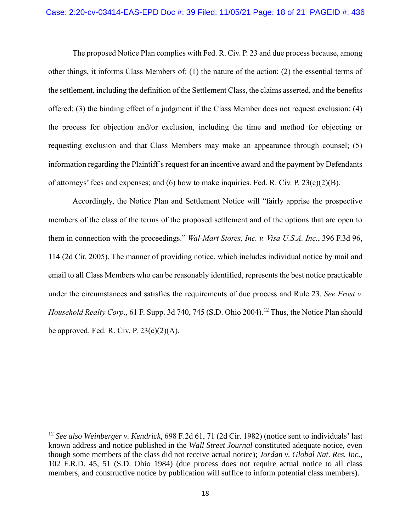### Case: 2:20-cv-03414-EAS-EPD Doc #: 39 Filed: 11/05/21 Page: 18 of 21 PAGEID #: 436

The proposed Notice Plan complies with Fed. R. Civ. P. 23 and due process because, among other things, it informs Class Members of: (1) the nature of the action; (2) the essential terms of the settlement, including the definition of the Settlement Class, the claims asserted, and the benefits offered; (3) the binding effect of a judgment if the Class Member does not request exclusion; (4) the process for objection and/or exclusion, including the time and method for objecting or requesting exclusion and that Class Members may make an appearance through counsel; (5) information regarding the Plaintiff's request for an incentive award and the payment by Defendants of attorneys' fees and expenses; and  $(6)$  how to make inquiries. Fed. R. Civ. P. 23(c)(2)(B).

Accordingly, the Notice Plan and Settlement Notice will "fairly apprise the prospective members of the class of the terms of the proposed settlement and of the options that are open to them in connection with the proceedings." *Wal-Mart Stores, Inc. v. Visa U.S.A. Inc.*, 396 F.3d 96, 114 (2d Cir. 2005). The manner of providing notice, which includes individual notice by mail and email to all Class Members who can be reasonably identified, represents the best notice practicable under the circumstances and satisfies the requirements of due process and Rule 23. *See Frost v. Household Realty Corp.*, 61 F. Supp. 3d 740, 745 (S.D. Ohio 2004).<sup>12</sup> Thus, the Notice Plan should be approved. Fed. R. Civ. P.  $23(c)(2)(A)$ .

<sup>12</sup> *See also Weinberger v. Kendrick*, 698 F.2d 61, 71 (2d Cir. 1982) (notice sent to individuals' last known address and notice published in the *Wall Street Journal* constituted adequate notice, even though some members of the class did not receive actual notice); *Jordan v. Global Nat. Res. Inc.*, 102 F.R.D. 45, 51 (S.D. Ohio 1984) (due process does not require actual notice to all class members, and constructive notice by publication will suffice to inform potential class members).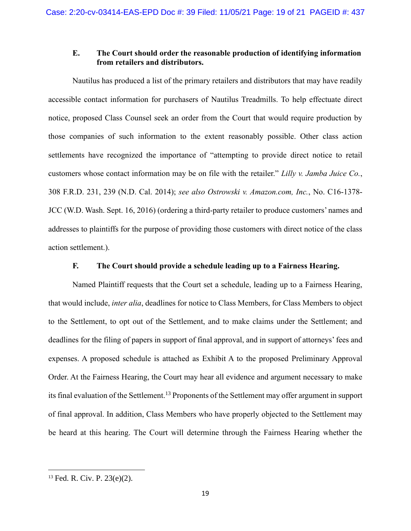## **E. The Court should order the reasonable production of identifying information from retailers and distributors.**

Nautilus has produced a list of the primary retailers and distributors that may have readily accessible contact information for purchasers of Nautilus Treadmills. To help effectuate direct notice, proposed Class Counsel seek an order from the Court that would require production by those companies of such information to the extent reasonably possible. Other class action settlements have recognized the importance of "attempting to provide direct notice to retail customers whose contact information may be on file with the retailer." *Lilly v. Jamba Juice Co.*, 308 F.R.D. 231, 239 (N.D. Cal. 2014); *see also Ostrowski v. Amazon.com, Inc.*, No. C16-1378- JCC (W.D. Wash. Sept. 16, 2016) (ordering a third-party retailer to produce customers' names and addresses to plaintiffs for the purpose of providing those customers with direct notice of the class action settlement.).

### **F. The Court should provide a schedule leading up to a Fairness Hearing.**

Named Plaintiff requests that the Court set a schedule, leading up to a Fairness Hearing, that would include, *inter alia*, deadlines for notice to Class Members, for Class Members to object to the Settlement, to opt out of the Settlement, and to make claims under the Settlement; and deadlines for the filing of papers in support of final approval, and in support of attorneys' fees and expenses. A proposed schedule is attached as Exhibit A to the proposed Preliminary Approval Order. At the Fairness Hearing, the Court may hear all evidence and argument necessary to make its final evaluation of the Settlement.<sup>13</sup> Proponents of the Settlement may offer argument in support of final approval. In addition, Class Members who have properly objected to the Settlement may be heard at this hearing. The Court will determine through the Fairness Hearing whether the

<sup>13</sup> Fed. R. Civ. P. 23(e)(2).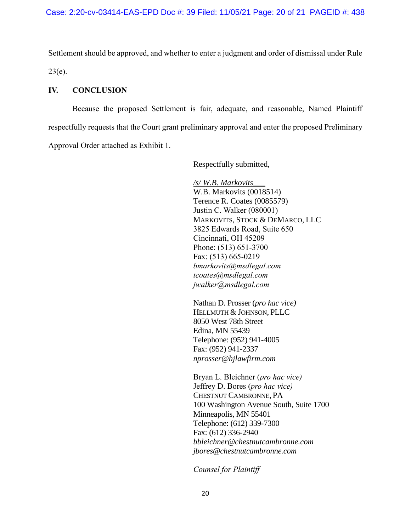Settlement should be approved, and whether to enter a judgment and order of dismissal under Rule  $23(e)$ .

## **IV. CONCLUSION**

Because the proposed Settlement is fair, adequate, and reasonable, Named Plaintiff respectfully requests that the Court grant preliminary approval and enter the proposed Preliminary Approval Order attached as Exhibit 1.

Respectfully submitted,

*/s/ W.B. Markovits\_\_\_* W.B. Markovits (0018514) Terence R. Coates (0085579) Justin C. Walker (080001) MARKOVITS, STOCK & DEMARCO, LLC 3825 Edwards Road, Suite 650 Cincinnati, OH 45209 Phone: (513) 651-3700 Fax: (513) 665-0219 *bmarkovits@msdlegal.com tcoates@msdlegal.com jwalker@msdlegal.com*

Nathan D. Prosser (*pro hac vice)* HELLMUTH & JOHNSON, PLLC 8050 West 78th Street Edina, MN 55439 Telephone: (952) 941-4005 Fax: (952) 941-2337 *nprosser@hjlawfirm.com*

Bryan L. Bleichner (*pro hac vice)* Jeffrey D. Bores (*pro hac vice)* CHESTNUT CAMBRONNE, PA 100 Washington Avenue South, Suite 1700 Minneapolis, MN 55401 Telephone: (612) 339-7300 Fax: (612) 336-2940 *bbleichner@chestnutcambronne.com jbores@chestnutcambronne.com*

*Counsel for Plaintiff*